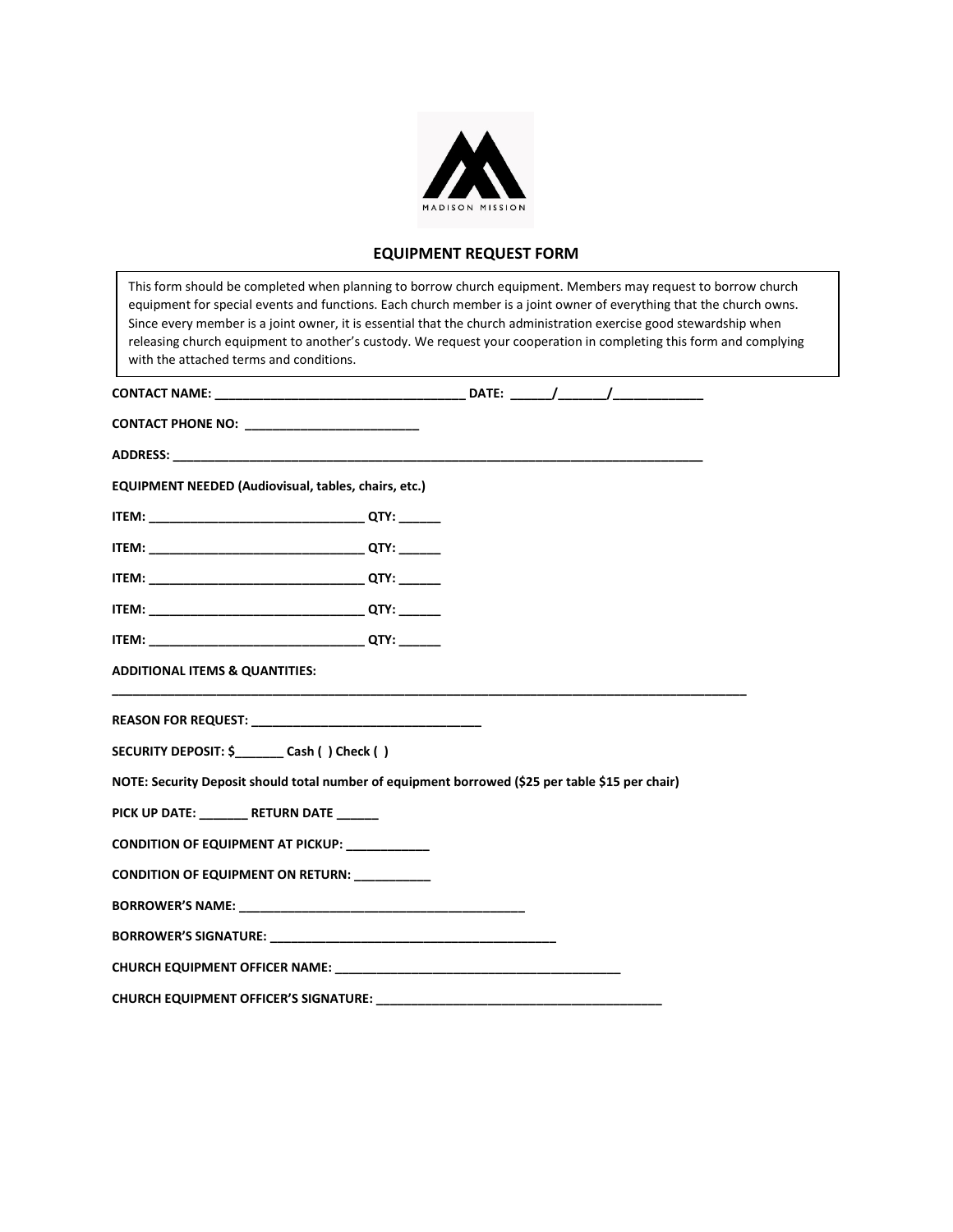

## **EQUIPMENT REQUEST FORM**

| This form should be completed when planning to borrow church equipment. Members may request to borrow church<br>equipment for special events and functions. Each church member is a joint owner of everything that the church owns.<br>Since every member is a joint owner, it is essential that the church administration exercise good stewardship when<br>releasing church equipment to another's custody. We request your cooperation in completing this form and complying<br>with the attached terms and conditions. |  |  |  |  |
|----------------------------------------------------------------------------------------------------------------------------------------------------------------------------------------------------------------------------------------------------------------------------------------------------------------------------------------------------------------------------------------------------------------------------------------------------------------------------------------------------------------------------|--|--|--|--|
|                                                                                                                                                                                                                                                                                                                                                                                                                                                                                                                            |  |  |  |  |
|                                                                                                                                                                                                                                                                                                                                                                                                                                                                                                                            |  |  |  |  |
| ADDRESS: Annual Material Contract of the Contract of the Contract of the Contract of the Contract of the Contract of the Contract of the Contract of the Contract of the Contract of the Contract of the Contract of the Contr                                                                                                                                                                                                                                                                                             |  |  |  |  |
| <b>EQUIPMENT NEEDED (Audiovisual, tables, chairs, etc.)</b>                                                                                                                                                                                                                                                                                                                                                                                                                                                                |  |  |  |  |
|                                                                                                                                                                                                                                                                                                                                                                                                                                                                                                                            |  |  |  |  |
|                                                                                                                                                                                                                                                                                                                                                                                                                                                                                                                            |  |  |  |  |
|                                                                                                                                                                                                                                                                                                                                                                                                                                                                                                                            |  |  |  |  |
|                                                                                                                                                                                                                                                                                                                                                                                                                                                                                                                            |  |  |  |  |
|                                                                                                                                                                                                                                                                                                                                                                                                                                                                                                                            |  |  |  |  |
| <b>ADDITIONAL ITEMS &amp; QUANTITIES:</b>                                                                                                                                                                                                                                                                                                                                                                                                                                                                                  |  |  |  |  |
| REASON FOR REQUEST: The contract of the contract of the contract of the contract of the contract of the contract of the contract of the contract of the contract of the contract of the contract of the contract of the contra                                                                                                                                                                                                                                                                                             |  |  |  |  |
| SECURITY DEPOSIT: \$ _________ Cash () Check ()                                                                                                                                                                                                                                                                                                                                                                                                                                                                            |  |  |  |  |
| NOTE: Security Deposit should total number of equipment borrowed (\$25 per table \$15 per chair)                                                                                                                                                                                                                                                                                                                                                                                                                           |  |  |  |  |
| PICK UP DATE: ________ RETURN DATE ______                                                                                                                                                                                                                                                                                                                                                                                                                                                                                  |  |  |  |  |
| CONDITION OF EQUIPMENT AT PICKUP: ___________                                                                                                                                                                                                                                                                                                                                                                                                                                                                              |  |  |  |  |
| CONDITION OF EQUIPMENT ON RETURN: __________                                                                                                                                                                                                                                                                                                                                                                                                                                                                               |  |  |  |  |
| <b>BORROWER'S NAME:</b> The contract of the contract of the contract of the contract of the contract of the contract of the contract of the contract of the contract of the contract of the contract of the contract of the contrac                                                                                                                                                                                                                                                                                        |  |  |  |  |
| BORROWER'S SIGNATURE: New York State of the Contract of the Contract of the Contract of the Contract of the Co                                                                                                                                                                                                                                                                                                                                                                                                             |  |  |  |  |
|                                                                                                                                                                                                                                                                                                                                                                                                                                                                                                                            |  |  |  |  |
| <b>CHURCH EQUIPMENT OFFICER'S SIGNATURE:</b> THE STATE OF THE STATE OF THE STATE OF THE STATE OF THE STATE OF THE STATE OF THE STATE OF THE STATE OF THE STATE OF THE STATE OF THE STATE OF THE STATE OF THE STATE OF THE STATE OF                                                                                                                                                                                                                                                                                         |  |  |  |  |